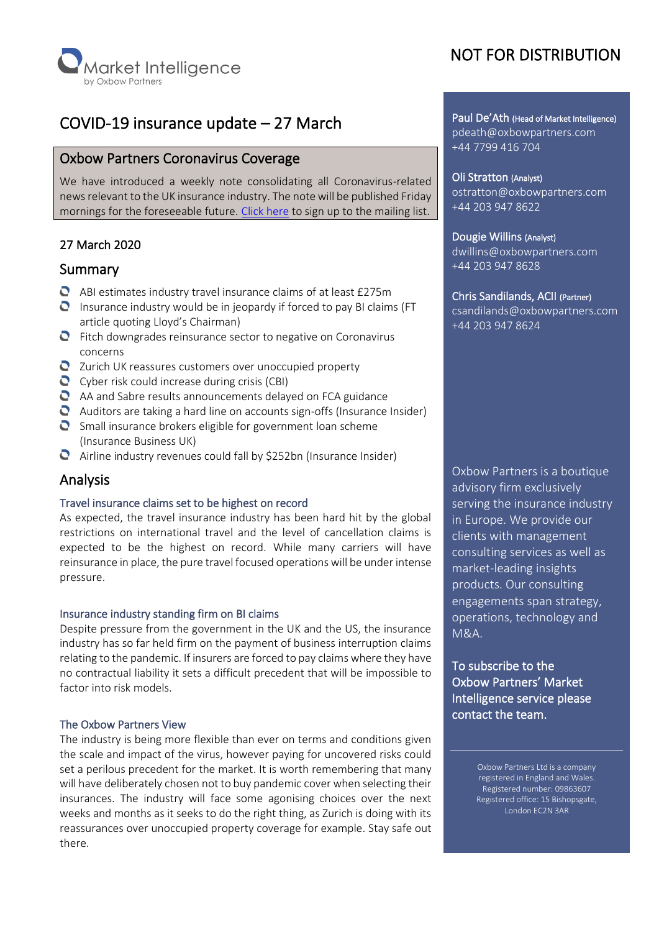

# COVID-19 insurance update – 27 March

# Oxbow Partners Coronavirus Coverage

We have introduced a weekly note consolidating all Coronavirus-related news relevant to the UK insurance industry. The note will be published Friday mornings for the foreseeable future. [Click here](https://mailchi.mp/oxbowpartners.com/coronavirusupdates) to sign up to the mailing list.

# 27 March 2020

# Summary

- $\bullet$  ABI estimates industry travel insurance claims of at least £275m
- **O** Insurance industry would be in jeopardy if forced to pay BI claims (FT article quoting Lloyd's Chairman)
- **O** Fitch downgrades reinsurance sector to negative on Coronavirus concerns
- **Q** Zurich UK reassures customers over unoccupied property
- Cyber risk could increase during crisis (CBI)
- AA and Sabre results announcements delayed on FCA guidance
- $\bullet$  Auditors are taking a hard line on accounts sign-offs (Insurance Insider)
- $\bullet$  Small insurance brokers eligible for government loan scheme (Insurance Business UK)
- $\bullet$  Airline industry revenues could fall by \$252bn (Insurance Insider)

# Analysis

## Travel insurance claims set to be highest on record

As expected, the travel insurance industry has been hard hit by the global restrictions on international travel and the level of cancellation claims is expected to be the highest on record. While many carriers will have reinsurance in place, the pure travel focused operations will be under intense pressure.

#### Insurance industry standing firm on BI claims

Despite pressure from the government in the UK and the US, the insurance industry has so far held firm on the payment of business interruption claims relating to the pandemic. If insurers are forced to pay claims where they have no contractual liability it sets a difficult precedent that will be impossible to factor into risk models.

#### The Oxbow Partners View

The industry is being more flexible than ever on terms and conditions given the scale and impact of the virus, however paying for uncovered risks could set a perilous precedent for the market. It is worth remembering that many will have deliberately chosen not to buy pandemic cover when selecting their insurances. The industry will face some agonising choices over the next weeks and months as it seeks to do the right thing, as Zurich is doing with its reassurances over unoccupied property coverage for example. Stay safe out there.

# NOT FOR DISTRIBUTION

Paul De'Ath (Head of Market Intelligence) pdeath@oxbowpartners.com +44 7799 416 704

### Oli Stratton (Analyst) ostratton@oxbowpartners.com +44 203 947 8622

#### Dougie Willins (Analyst)

dwillins@oxbowpartners.com +44 203 947 8628

#### Chris Sandilands, ACII (Partner)

csandilands@oxbowpartners.com +44 203 947 8624

Oxbow Partners is a boutique advisory firm exclusively serving the insurance industry in Europe. We provide our clients with management consulting services as well as market-leading insights products. Our consulting engagements span strategy, operations, technology and M&A.

To subscribe to the Oxbow Partners' Market Intelligence service please contact the team.

> Oxbow Partners Ltd is a company registered in England and Wales. Registered number: 09863607 Registered office: 15 Bishopsgate, London EC2N 3AR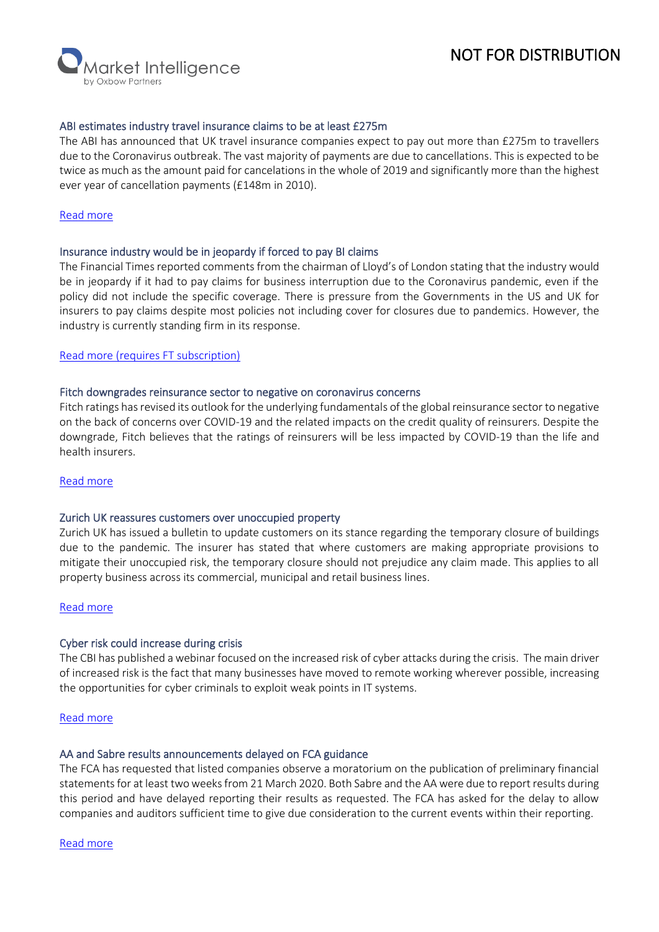# NOT FOR DISTRIBUTION

**larket Intelligence** 

#### ABI estimates industry travel insurance claims to be at least £275m

The ABI has announced that UK travel insurance companies expect to pay out more than £275m to travellers due to the Coronavirus outbreak. The vast majority of payments are due to cancellations. This is expected to be twice as much as the amount paid for cancelations in the whole of 2019 and significantly more than the highest ever year of cancellation payments (£148m in 2010).

# [Read more](https://www.abi.org.uk/news/news-articles/2020/03/covid19-travel-insurers-expect-to-make-record-payouts-to-customers/)

#### Insurance industry would be in jeopardy if forced to pay BI claims

The Financial Times reported comments from the chairman of Lloyd's of London stating that the industry would be in jeopardy if it had to pay claims for business interruption due to the Coronavirus pandemic, even if the policy did not include the specific coverage. There is pressure from the Governments in the US and UK for insurers to pay claims despite most policies not including cover for closures due to pandemics. However, the industry is currently standing firm in its response.

#### [Read more \(requires FT subscription\)](https://www.ft.com/content/bc97929f-8561-49f0-9eef-cf4f602c42d2)

#### Fitch downgrades reinsurance sector to negative on coronavirus concerns

Fitch ratings has revised its outlook for the underlying fundamentals of the global reinsurance sector to negative on the back of concerns over COVID-19 and the related impacts on the credit quality of reinsurers. Despite the downgrade, Fitch believes that the ratings of reinsurers will be less impacted by COVID-19 than the life and health insurers.

#### [Read more](https://www.fitchratings.com/site/pr/10115128?)

#### Zurich UK reassures customers over unoccupied property

Zurich UK has issued a bulletin to update customers on its stance regarding the temporary closure of buildings due to the pandemic. The insurer has stated that where customers are making appropriate provisions to mitigate their unoccupied risk, the temporary closure should not prejudice any claim made. This applies to all property business across its commercial, municipal and retail business lines.

## [Read more](https://insider.zurich.co.uk/trending/temporarily-closing-premises-coronavirus/)

## Cyber risk could increase during crisis

The CBI has published a webinar focused on the increased risk of cyber attacks during the crisis. The main driver of increased risk is the fact that many businesses have moved to remote working wherever possible, increasing the opportunities for cyber criminals to exploit weak points in IT systems.

## [Read more](https://www.cbi.org.uk/articles/daily-coronavirus-webinar-cyber-security-25-03-2020/)

#### AA and Sabre results announcements delayed on FCA guidance

The FCA has requested that listed companies observe a moratorium on the publication of preliminary financial statements for at least two weeks from 21 March 2020. Both Sabre and the AA were due to report results during this period and have delayed reporting their results as requested. The FCA has asked for the delay to allow companies and auditors sufficient time to give due consideration to the current events within their reporting.

[Read more](https://www.fca.org.uk/news/statements/fca-requests-delay-forthcoming-announcement-preliminary-financial-accounts)